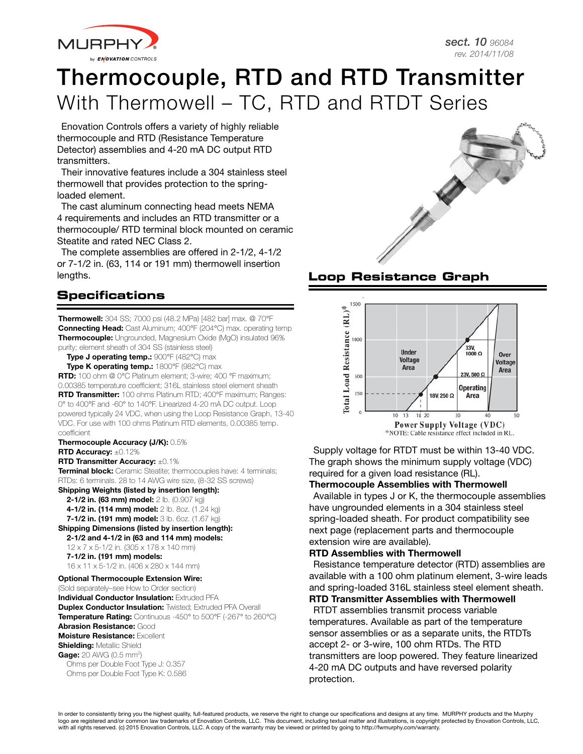

# Thermocouple, RTD and RTD Transmitter With Thermowell – TC, RTD and RTDT Series

Enovation Controls offers a variety of highly reliable thermocouple and RTD (Resistance Temperature Detector) assemblies and 4-20 mA DC output RTD transmitters.

Their innovative features include a 304 stainless steel thermowell that provides protection to the springloaded element.

The cast aluminum connecting head meets NEMA 4 requirements and includes an RTD transmitter or a thermocouple/ RTD terminal block mounted on ceramic Steatite and rated NEC Class 2.

The complete assemblies are offered in 2-1/2, 4-1/2 or 7-1/2 in. (63, 114 or 191 mm) thermowell insertion lengths. **Loop Resistance Graph**

# **Specifications**

**Thermowell:** 304 SS; 7000 psi (48.2 MPa) [482 bar] max. @ 70°F **Connecting Head:** Cast Aluminum; 400°F (204°C) max. operating temp Thermocouple: Ungrounded, Magnesium Oxide (MgO) insulated 96% purity; element sheath of 304 SS (stainless steel)

Type J operating temp.: 900°F (482°C) max

Type K operating temp.: 1800°F (982°C) max RTD: 100 ohm @ 0°C Platinum element; 3-wire; 400 °F maximum; 0.00385 temperature coefficient; 316L stainless steel element sheath **RTD Transmitter:** 100 ohms Platinum RTD: 400°F maximum: Ranges: 0° to 400°F and -60° to 140°F. Linearized 4-20 mA DC output. Loop powered typically 24 VDC, when using the Loop Resistance Graph, 13-40 VDC. For use with 100 ohms Platinum RTD elements, 0.00385 temp. coefficient

Thermocouple Accuracy (J/K): 0.5% RTD Accuracy: ±0.12%

RTD Transmitter Accuracy: ±0.1%

Terminal block: Ceramic Steatite; thermocouples have: 4 terminals; RTDs: 6 terminals. 28 to 14 AWG wire size, (8-32 SS screws) Shipping Weights (listed by insertion length):

**2-1/2 in. (63 mm) model:** 2 lb. (0.907 kg)

- 4-1/2 in. (114 mm) model: 2 lb. 8oz. (1.24 kg)
- 7-1/2 in. (191 mm) model: 3 lb. 6oz. (1.67 kg)

Shipping Dimensions (listed by insertion length):

2-1/2 and 4-1/2 in (63 and 114 mm) models:

12 x 7 x 5-1/2 in. (305 x 178 x 140 mm) 7-1/2 in. (191 mm) models:

16 x 11 x 5-1/2 in. (406 x 280 x 144 mm)

### Optional Thermocouple Extension Wire:

(Sold separately–see How to Order section) **Individual Conductor Insulation: Extruded PFA Duplex Conductor Insulation:** Twisted; Extruded PFA Overall Temperature Rating: Continuous -450° to 500°F (-267° to 260°C) Abrasion Resistance: Good Moisture Resistance: Excellent **Shielding: Metallic Shield** Gage: 20 AWG (0.5 mm<sup>2</sup>) Ohms per Double Foot Type J: 0.357 Ohms per Double Foot Type K: 0.586





Supply voltage for RTDT must be within 13-40 VDC. The graph shows the minimum supply voltage (VDC) required for a given load resistance (RL).

Thermocouple Assemblies with Thermowell Available in types J or K, the thermocouple assemblies

have ungrounded elements in a 304 stainless steel spring-loaded sheath. For product compatibility see next page (replacement parts and thermocouple extension wire are available).

### RTD Assemblies with Thermowell

Resistance temperature detector (RTD) assemblies are available with a 100 ohm platinum element, 3-wire leads and spring-loaded 316L stainless steel element sheath.

## RTD Transmitter Assemblies with Thermowell

RTDT assemblies transmit process variable temperatures. Available as part of the temperature sensor assemblies or as a separate units, the RTDTs accept 2- or 3-wire, 100 ohm RTDs. The RTD transmitters are loop powered. They feature linearized 4-20 mA DC outputs and have reversed polarity protection.